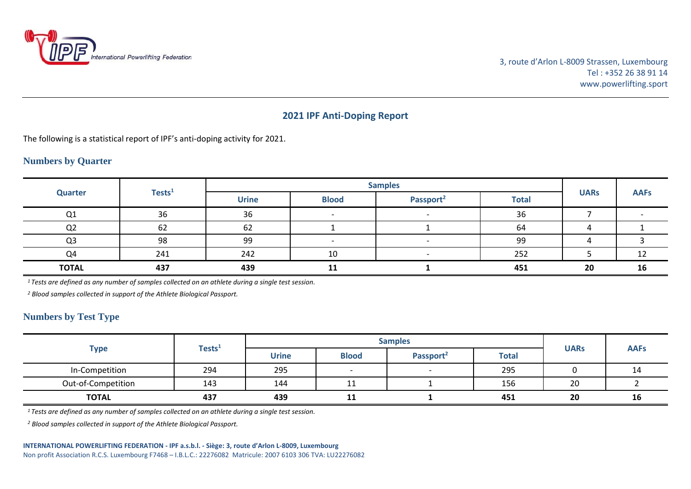

## **2021 IPF Anti-Doping Report**

The following is a statistical report of IPF's anti-doping activity for 2021.

## **Numbers by Quarter**

| <b>Quarter</b> | Tests <sup>1</sup> | <b>Samples</b> |              |                       |              |             |             |
|----------------|--------------------|----------------|--------------|-----------------------|--------------|-------------|-------------|
|                |                    | <b>Urine</b>   | <b>Blood</b> | Passport <sup>2</sup> | <b>Total</b> | <b>UARs</b> | <b>AAFs</b> |
| Q1             | 36                 | 36             |              |                       | 36           |             |             |
| Q <sub>2</sub> | 62                 | 62             |              |                       | 64           |             |             |
| Q <sub>3</sub> | 98                 | 99             |              |                       | 99           |             |             |
| Q4             | 241                | 242            | 10           |                       | 252          |             |             |
| <b>TOTAL</b>   | 437                | 439            |              |                       | 451          | 20          | 16          |

*<sup>1</sup>Tests are defined as any number of samples collected on an athlete during a single test session.*

*<sup>2</sup> Blood samples collected in support of the Athlete Biological Passport.*

## **Numbers by Test Type**

|                    | Tests <sup>1</sup> | <b>Samples</b> |              |                       |              |             |             |
|--------------------|--------------------|----------------|--------------|-----------------------|--------------|-------------|-------------|
| <b>Type</b>        |                    | <b>Urine</b>   | <b>Blood</b> | Passport <sup>2</sup> | <b>Total</b> | <b>UARs</b> | <b>AAFs</b> |
| In-Competition     | 294                | 295            |              |                       | 295          |             | 14          |
| Out-of-Competition | 143                | 144            | 11           |                       | 156          | 20          |             |
| <b>TOTAL</b>       | 437                | 439            | 11           |                       | 451          | 20          | 16          |

*<sup>1</sup>Tests are defined as any number of samples collected on an athlete during a single test session.*

*<sup>2</sup> Blood samples collected in support of the Athlete Biological Passport.*